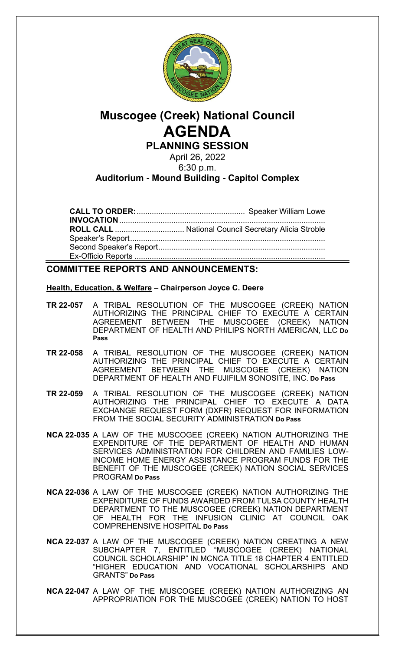

# **Muscogee (Creek) National Council AGENDA PLANNING SESSION**

April 26, 2022 6:30 p.m.

# **Auditorium - Mound Building - Capitol Complex**

**CALL TO ORDER:**.................................................. Speaker William Lowe **INVOCATION**............................................................................................... **ROLL CALL** ................................ National Council Secretary Alicia Stroble Speaker's Report.......................................................................................... Second Speaker's Report............................................................................. Ex-Officio Reports ........................................................................................

# **COMMITTEE REPORTS AND ANNOUNCEMENTS:**

## **Health, Education, & Welfare – Chairperson Joyce C. Deere**

- **TR 22-057** A TRIBAL RESOLUTION OF THE MUSCOGEE (CREEK) NATION AUTHORIZING THE PRINCIPAL CHIEF TO EXECUTE A CERTAIN AGREEMENT BETWEEN THE MUSCOGEE (CREEK) NATION DEPARTMENT OF HEALTH AND PHILIPS NORTH AMERICAN, LLC **Do Pass**
- **TR 22-058** A TRIBAL RESOLUTION OF THE MUSCOGEE (CREEK) NATION AUTHORIZING THE PRINCIPAL CHIEF TO EXECUTE A CERTAIN AGREEMENT BETWEEN THE MUSCOGEE (CREEK) NATION DEPARTMENT OF HEALTH AND FUJIFILM SONOSITE, INC. **Do Pass**
- **TR 22-059** A TRIBAL RESOLUTION OF THE MUSCOGEE (CREEK) NATION AUTHORIZING THE PRINCIPAL CHIEF TO EXECUTE A DATA EXCHANGE REQUEST FORM (DXFR) REQUEST FOR INFORMATION FROM THE SOCIAL SECURITY ADMINISTRATION **Do Pass**
- **NCA 22-035** A LAW OF THE MUSCOGEE (CREEK) NATION AUTHORIZING THE EXPENDITURE OF THE DEPARTMENT OF HEALTH AND HUMAN SERVICES ADMINISTRATION FOR CHILDREN AND FAMILIES LOW-INCOME HOME ENERGY ASSISTANCE PROGRAM FUNDS FOR THE BENEFIT OF THE MUSCOGEE (CREEK) NATION SOCIAL SERVICES PROGRAM **Do Pass**
- **NCA 22-036** A LAW OF THE MUSCOGEE (CREEK) NATION AUTHORIZING THE EXPENDITURE OF FUNDS AWARDED FROM TULSA COUNTY HEALTH DEPARTMENT TO THE MUSCOGEE (CREEK) NATION DEPARTMENT OF HEALTH FOR THE INFUSION CLINIC AT COUNCIL OAK COMPREHENSIVE HOSPITAL **Do Pass**
- **NCA 22-037** A LAW OF THE MUSCOGEE (CREEK) NATION CREATING A NEW SUBCHAPTER 7, ENTITLED "MUSCOGEE (CREEK) NATIONAL COUNCIL SCHOLARSHIP" IN MCNCA TITLE 18 CHAPTER 4 ENTITLED "HIGHER EDUCATION AND VOCATIONAL SCHOLARSHIPS AND GRANTS" **Do Pass**
- **NCA 22-047** A LAW OF THE MUSCOGEE (CREEK) NATION AUTHORIZING AN APPROPRIATION FOR THE MUSCOGEE (CREEK) NATION TO HOST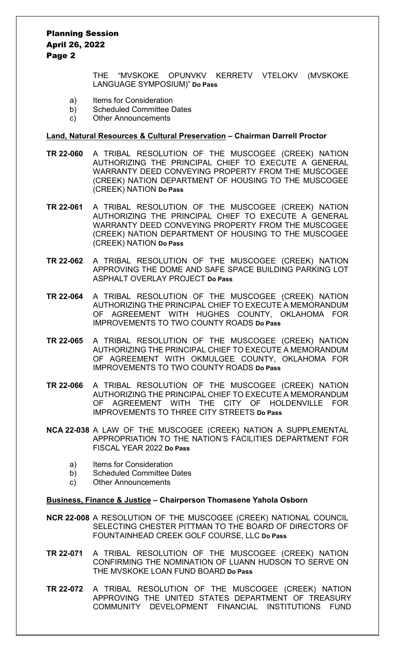Planning Session April 26, 2022 Page 2

> THE "MVSKOKE OPUNVKV KERRETV VTELOKV (MVSKOKE LANGUAGE SYMPOSIUM)" **Do Pass**

- a) Items for Consideration
- b) Scheduled Committee Dates
- c) Other Announcements

#### **Land, Natural Resources & Cultural Preservation – Chairman Darrell Proctor**

- **TR 22-060** A TRIBAL RESOLUTION OF THE MUSCOGEE (CREEK) NATION AUTHORIZING THE PRINCIPAL CHIEF TO EXECUTE A GENERAL WARRANTY DEED CONVEYING PROPERTY FROM THE MUSCOGEE (CREEK) NATION DEPARTMENT OF HOUSING TO THE MUSCOGEE (CREEK) NATION **Do Pass**
- **TR 22-061** A TRIBAL RESOLUTION OF THE MUSCOGEE (CREEK) NATION AUTHORIZING THE PRINCIPAL CHIEF TO EXECUTE A GENERAL WARRANTY DEED CONVEYING PROPERTY FROM THE MUSCOGEE (CREEK) NATION DEPARTMENT OF HOUSING TO THE MUSCOGEE (CREEK) NATION **Do Pass**
- **TR 22-062** A TRIBAL RESOLUTION OF THE MUSCOGEE (CREEK) NATION APPROVING THE DOME AND SAFE SPACE BUILDING PARKING LOT ASPHALT OVERLAY PROJECT **Do Pass**
- **TR 22-064** A TRIBAL RESOLUTION OF THE MUSCOGEE (CREEK) NATION AUTHORIZING THE PRINCIPAL CHIEF TO EXECUTE A MEMORANDUM OF AGREEMENT WITH HUGHES COUNTY, OKLAHOMA FOR IMPROVEMENTS TO TWO COUNTY ROADS **Do Pass**
- **TR 22-065** A TRIBAL RESOLUTION OF THE MUSCOGEE (CREEK) NATION AUTHORIZING THE PRINCIPAL CHIEF TO EXECUTE A MEMORANDUM OF AGREEMENT WITH OKMULGEE COUNTY, OKLAHOMA FOR IMPROVEMENTS TO TWO COUNTY ROADS **Do Pass**
- **TR 22-066** A TRIBAL RESOLUTION OF THE MUSCOGEE (CREEK) NATION AUTHORIZING THE PRINCIPAL CHIEF TO EXECUTE A MEMORANDUM OF AGREEMENT WITH THE CITY OF HOLDENVILLE FOR IMPROVEMENTS TO THREE CITY STREETS **Do Pass**
- **NCA 22-038** A LAW OF THE MUSCOGEE (CREEK) NATION A SUPPLEMENTAL APPROPRIATION TO THE NATION'S FACILITIES DEPARTMENT FOR FISCAL YEAR 2022 **Do Pass**
	- a) Items for Consideration
	- b) Scheduled Committee Dates
	- c) Other Announcements

#### **Business, Finance & Justice – Chairperson Thomasene Yahola Osborn**

- **NCR 22-008** A RESOLUTION OF THE MUSCOGEE (CREEK) NATIONAL COUNCIL SELECTING CHESTER PITTMAN TO THE BOARD OF DIRECTORS OF FOUNTAINHEAD CREEK GOLF COURSE, LLC **Do Pass**
- **TR 22-071** A TRIBAL RESOLUTION OF THE MUSCOGEE (CREEK) NATION CONFIRMING THE NOMINATION OF LUANN HUDSON TO SERVE ON THE MVSKOKE LOAN FUND BOARD **Do Pass**
- **TR 22-072** A TRIBAL RESOLUTION OF THE MUSCOGEE (CREEK) NATION APPROVING THE UNITED STATES DEPARTMENT OF TREASURY COMMUNITY DEVELOPMENT FINANCIAL INSTITUTIONS FUND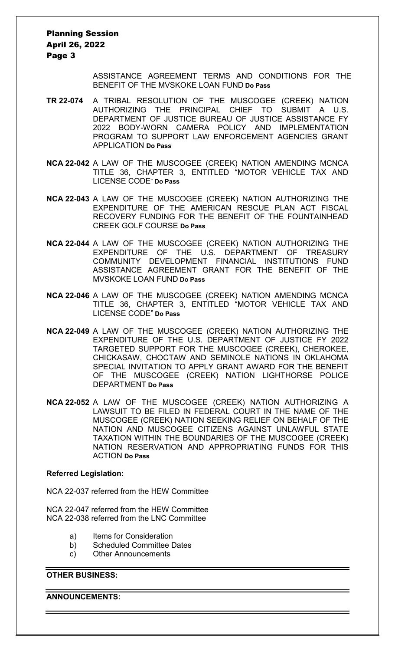Planning Session April 26, 2022 Page 3

> ASSISTANCE AGREEMENT TERMS AND CONDITIONS FOR THE BENEFIT OF THE MVSKOKE LOAN FUND **Do Pass**

- **TR 22-074** A TRIBAL RESOLUTION OF THE MUSCOGEE (CREEK) NATION AUTHORIZING THE PRINCIPAL CHIEF TO SUBMIT A U.S. DEPARTMENT OF JUSTICE BUREAU OF JUSTICE ASSISTANCE FY 2022 BODY-WORN CAMERA POLICY AND IMPLEMENTATION PROGRAM TO SUPPORT LAW ENFORCEMENT AGENCIES GRANT APPLICATION **Do Pass**
- **NCA 22-042** A LAW OF THE MUSCOGEE (CREEK) NATION AMENDING MCNCA TITLE 36, CHAPTER 3, ENTITLED "MOTOR VEHICLE TAX AND LICENSE CODE" **Do Pass**
- **NCA 22-043** A LAW OF THE MUSCOGEE (CREEK) NATION AUTHORIZING THE EXPENDITURE OF THE AMERICAN RESCUE PLAN ACT FISCAL RECOVERY FUNDING FOR THE BENEFIT OF THE FOUNTAINHEAD CREEK GOLF COURSE **Do Pass**
- **NCA 22-044** A LAW OF THE MUSCOGEE (CREEK) NATION AUTHORIZING THE EXPENDITURE OF THE U.S. DEPARTMENT OF TREASURY COMMUNITY DEVELOPMENT FINANCIAL INSTITUTIONS FUND ASSISTANCE AGREEMENT GRANT FOR THE BENEFIT OF THE MVSKOKE LOAN FUND **Do Pass**
- **NCA 22-046** A LAW OF THE MUSCOGEE (CREEK) NATION AMENDING MCNCA TITLE 36, CHAPTER 3, ENTITLED "MOTOR VEHICLE TAX AND LICENSE CODE" **Do Pass**
- **NCA 22-049** A LAW OF THE MUSCOGEE (CREEK) NATION AUTHORIZING THE EXPENDITURE OF THE U.S. DEPARTMENT OF JUSTICE FY 2022 TARGETED SUPPORT FOR THE MUSCOGEE (CREEK), CHEROKEE, CHICKASAW, CHOCTAW AND SEMINOLE NATIONS IN OKLAHOMA SPECIAL INVITATION TO APPLY GRANT AWARD FOR THE BENEFIT OF THE MUSCOGEE (CREEK) NATION LIGHTHORSE POLICE DEPARTMENT **Do Pass**
- **NCA 22-052** A LAW OF THE MUSCOGEE (CREEK) NATION AUTHORIZING A LAWSUIT TO BE FILED IN FEDERAL COURT IN THE NAME OF THE MUSCOGEE (CREEK) NATION SEEKING RELIEF ON BEHALF OF THE NATION AND MUSCOGEE CITIZENS AGAINST UNLAWFUL STATE TAXATION WITHIN THE BOUNDARIES OF THE MUSCOGEE (CREEK) NATION RESERVATION AND APPROPRIATING FUNDS FOR THIS ACTION **Do Pass**

#### **Referred Legislation:**

NCA 22-037 referred from the HEW Committee

NCA 22-047 referred from the HEW Committee NCA 22-038 referred from the LNC Committee

- a) Items for Consideration
- b) Scheduled Committee Dates
- c) Other Announcements

## **OTHER BUSINESS:**

**ANNOUNCEMENTS:**